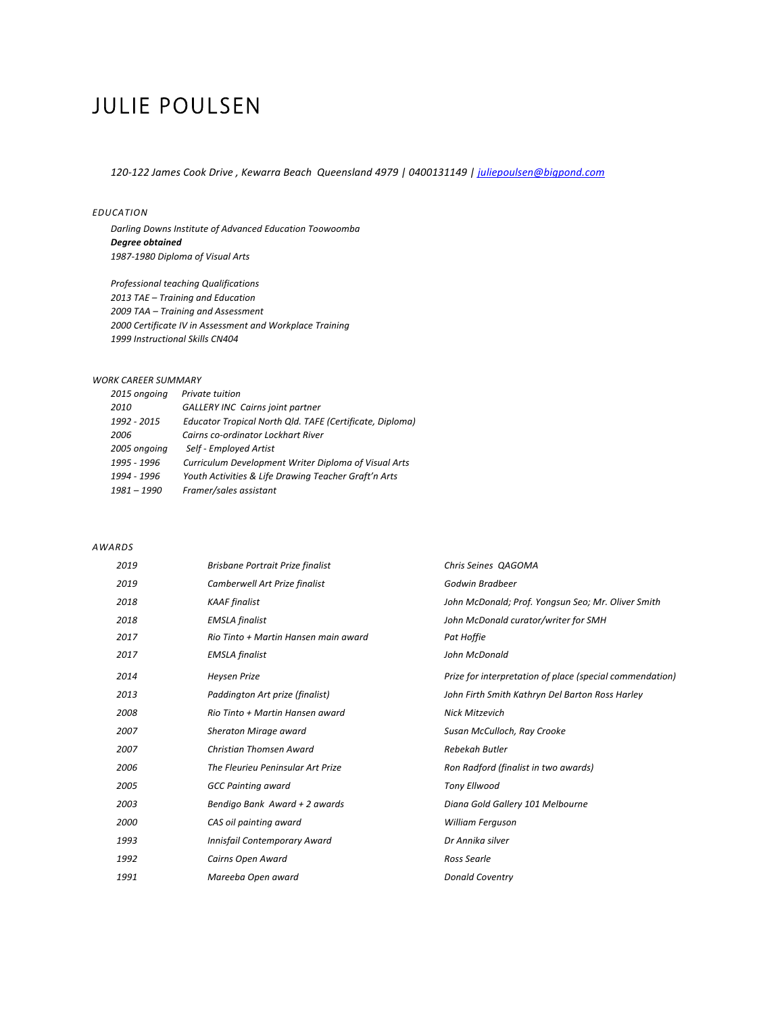# JULIE POULSEN

*120-122 James Cook Drive , Kewarra Beach Queensland 4979 | 0400131149 | juliepoulsen@bigpond.com*

## *EDUCATION*

Darling Downs Institute of Advanced Education Toowoomba *Degree obtained 1987-1980 Diploma of Visual Arts*

*Professional teaching Qualifications* 2013 TAE - Training and Education *2009 TAA – Training and Assessment 2000 Certificate IV in Assessment and Workplace Training 1999 Instructional Skills CN404*

# *WORK CAREER SUMMARY*

| 2015 ongoing  | Private tuition                                          |
|---------------|----------------------------------------------------------|
| 2010          | <b>GALLERY INC Cairns joint partner</b>                  |
| 1992 - 2015   | Educator Tropical North Qld. TAFE (Certificate, Diploma) |
| 2006          | Cairns co-ordinator Lockhart River                       |
| 2005 ongoing  | Self - Employed Artist                                   |
| 1995 - 1996   | Curriculum Development Writer Diploma of Visual Arts     |
| 1994 - 1996   | Youth Activities & Life Drawing Teacher Graft'n Arts     |
| $1981 - 1990$ | Framer/sales assistant                                   |
|               |                                                          |

#### *AWARDS*

| 2019 | Brisbane Portrait Prize finalist     | Chris Seines QAGOMA                                      |
|------|--------------------------------------|----------------------------------------------------------|
| 2019 | Camberwell Art Prize finalist        | Godwin Bradbeer                                          |
| 2018 | <b>KAAF</b> finalist                 | John McDonald; Prof. Yongsun Seo; Mr. Oliver Smith       |
| 2018 | <b>EMSLA</b> finalist                | John McDonald curator/writer for SMH                     |
| 2017 | Rio Tinto + Martin Hansen main award | Pat Hoffie                                               |
| 2017 | <b>EMSLA</b> finalist                | John McDonald                                            |
| 2014 | <b>Heysen Prize</b>                  | Prize for interpretation of place (special commendation) |
| 2013 | Paddington Art prize (finalist)      | John Firth Smith Kathryn Del Barton Ross Harley          |
| 2008 | Rio Tinto + Martin Hansen award      | <b>Nick Mitzevich</b>                                    |
| 2007 | Sheraton Mirage award                | Susan McCulloch, Ray Crooke                              |
| 2007 | Christian Thomsen Award              | Rebekah Butler                                           |
| 2006 | The Fleurieu Peninsular Art Prize    | Ron Radford (finalist in two awards)                     |
| 2005 | <b>GCC Painting award</b>            | <b>Tony Ellwood</b>                                      |
| 2003 | Bendigo Bank Award + 2 awards        | Diana Gold Gallery 101 Melbourne                         |
| 2000 | CAS oil painting award               | <b>William Ferguson</b>                                  |
| 1993 | Innisfail Contemporary Award         | Dr Annika silver                                         |
| 1992 | Cairns Open Award                    | Ross Searle                                              |
| 1991 | Mareeba Open award                   | <b>Donald Coventry</b>                                   |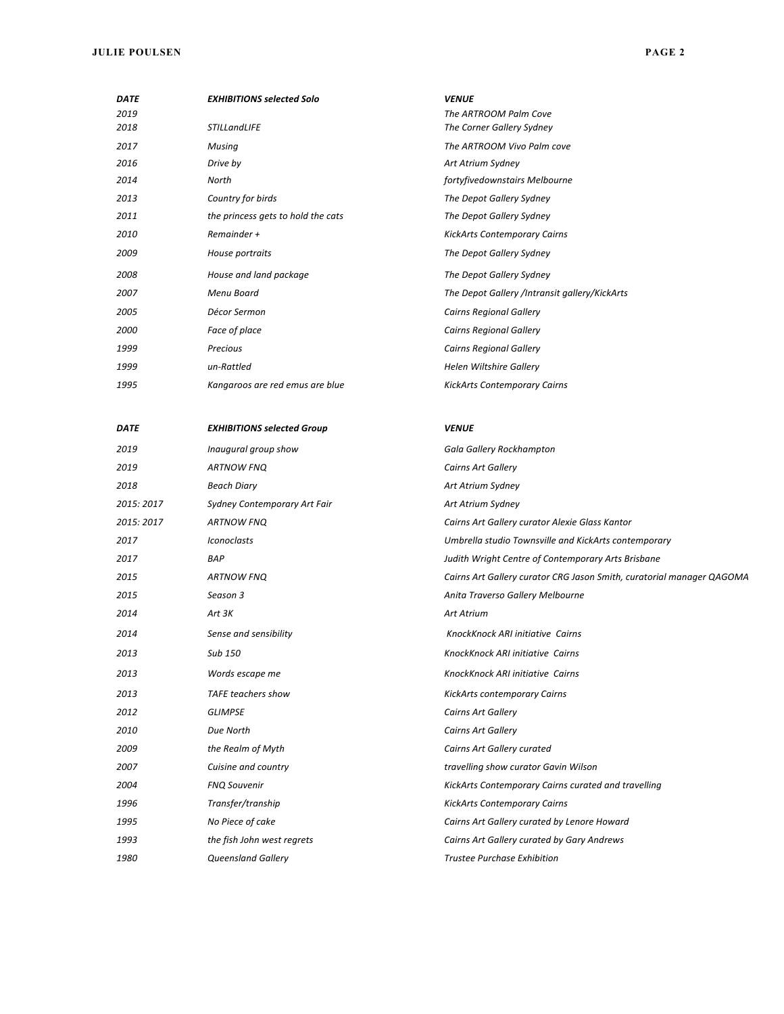## **JULIE POULSEN PAGE 2**

| <b>DATE</b> | <b>EXHIBITIONS selected Solo</b>   | <b>VENUE</b>                                  |
|-------------|------------------------------------|-----------------------------------------------|
| 2019        |                                    | The ARTROOM Palm Cove                         |
| 2018        | <b>STILLandLIFE</b>                | The Corner Gallery Sydney                     |
| 2017        | Musing                             | The ARTROOM Vivo Palm cove                    |
| 2016        | Drive by                           | Art Atrium Sydney                             |
| 2014        | North                              | fortyfivedownstairs Melbourne                 |
| 2013        | Country for birds                  | The Depot Gallery Sydney                      |
| 2011        | the princess gets to hold the cats | The Depot Gallery Sydney                      |
| 2010        | Remainder +                        | <b>KickArts Contemporary Cairns</b>           |
| 2009        | House portraits                    | The Depot Gallery Sydney                      |
| 2008        | House and land package             | The Depot Gallery Sydney                      |
| 2007        | Menu Board                         | The Depot Gallery /Intransit gallery/KickArts |
| 2005        | Décor Sermon                       | <b>Cairns Regional Gallery</b>                |
| 2000        | Face of place                      | <b>Cairns Regional Gallery</b>                |
| 1999        | Precious                           | <b>Cairns Regional Gallery</b>                |
| 1999        | un-Rattled                         | <b>Helen Wiltshire Gallery</b>                |
| 1995        | Kangaroos are red emus are blue    | <b>KickArts Contemporary Cairns</b>           |
|             |                                    |                                               |

| <b>DATE</b> | <b>EXHIBITIONS selected Group</b> | <b>VENUE</b>                                                          |
|-------------|-----------------------------------|-----------------------------------------------------------------------|
| 2019        | Inaugural group show              | Gala Gallery Rockhampton                                              |
| 2019        | <b>ARTNOW FNO</b>                 | Cairns Art Gallery                                                    |
| 2018        | <b>Beach Diary</b>                | Art Atrium Sydney                                                     |
| 2015: 2017  | Sydney Contemporary Art Fair      | Art Atrium Sydney                                                     |
| 2015: 2017  | <b>ARTNOW FNQ</b>                 | Cairns Art Gallery curator Alexie Glass Kantor                        |
| 2017        | <b>Iconoclasts</b>                | Umbrella studio Townsville and KickArts contemporary                  |
| 2017        | <b>BAP</b>                        | Judith Wright Centre of Contemporary Arts Brisbane                    |
| 2015        | <b>ARTNOW FNQ</b>                 | Cairns Art Gallery curator CRG Jason Smith, curatorial manager QAGOMA |
| 2015        | Season 3                          | Anita Traverso Gallery Melbourne                                      |
| 2014        | Art 3K                            | <b>Art Atrium</b>                                                     |
| 2014        | Sense and sensibility             | KnockKnock ARI initiative Cairns                                      |
| 2013        | Sub 150                           | KnockKnock ARI initiative Cairns                                      |
| 2013        | Words escape me                   | KnockKnock ARI initiative Cairns                                      |
| 2013        | <b>TAFE teachers show</b>         | <b>KickArts contemporary Cairns</b>                                   |
| 2012        | <b>GLIMPSE</b>                    | Cairns Art Gallery                                                    |
| 2010        | Due North                         | Cairns Art Gallery                                                    |
| 2009        | the Realm of Myth                 | Cairns Art Gallery curated                                            |
| 2007        | Cuisine and country               | travelling show curator Gavin Wilson                                  |
| 2004        | <b>FNQ Souvenir</b>               | KickArts Contemporary Cairns curated and travelling                   |
| 1996        | Transfer/tranship                 | <b>KickArts Contemporary Cairns</b>                                   |
| 1995        | No Piece of cake                  | Cairns Art Gallery curated by Lenore Howard                           |
| 1993        | the fish John west regrets        | Cairns Art Gallery curated by Gary Andrews                            |
| 1980        | <b>Queensland Gallery</b>         | <b>Trustee Purchase Exhibition</b>                                    |